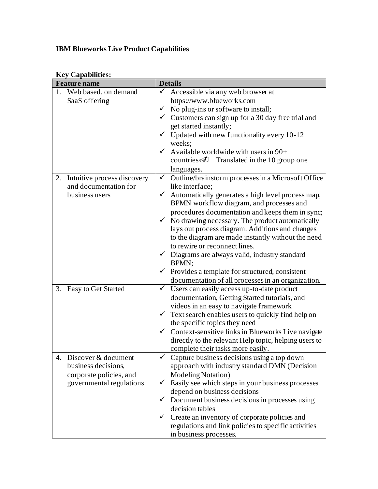## **IBM Blueworks Live Product Capabilities**

| $\mathbf{v}_j$ $\mathbf{v}_i$ $\mathbf{v}_i$<br><b>Feature name</b> | <b>Details</b>                                                     |
|---------------------------------------------------------------------|--------------------------------------------------------------------|
| 1. Web based, on demand                                             | Accessible via any web browser at<br>✓                             |
| SaaS offering                                                       | https://www.blueworks.com                                          |
|                                                                     | $\checkmark$ No plug-ins or software to install;                   |
|                                                                     | $\checkmark$ Customers can sign up for a 30 day free trial and     |
|                                                                     | get started instantly;                                             |
|                                                                     | $\checkmark$ Updated with new functionality every 10-12            |
|                                                                     | weeks;                                                             |
|                                                                     | Available worldwide with users in 90+<br>$\checkmark$              |
|                                                                     | countries <i>I</i> Translated in the 10 group one                  |
|                                                                     | languages.                                                         |
| Intuitive process discovery<br>2.                                   | Outline/brainstorm processes in a Microsoft Office<br>$\checkmark$ |
| and documentation for                                               | like interface;                                                    |
| business users                                                      | $\checkmark$ Automatically generates a high level process map,     |
|                                                                     | BPMN workflow diagram, and processes and                           |
|                                                                     | procedures documentation and keeps them in sync;                   |
|                                                                     | No drawing necessary. The product automatically<br>$\checkmark$    |
|                                                                     | lays out process diagram. Additions and changes                    |
|                                                                     | to the diagram are made instantly without the need                 |
|                                                                     | to rewire or reconnect lines.                                      |
|                                                                     | $\checkmark$ Diagrams are always valid, industry standard          |
|                                                                     | BPMN;                                                              |
|                                                                     | Provides a template for structured, consistent<br>$\checkmark$     |
|                                                                     | documentation of all processes in an organization.                 |
| 3. Easy to Get Started                                              | $\checkmark$<br>Users can easily access up-to-date product         |
|                                                                     | documentation, Getting Started tutorials, and                      |
|                                                                     | videos in an easy to navigate framework                            |
|                                                                     | Text search enables users to quickly find help on<br>$\checkmark$  |
|                                                                     | the specific topics they need                                      |
|                                                                     | Context-sensitive links in Blueworks Live navigate<br>$\checkmark$ |
|                                                                     | directly to the relevant Help topic, helping users to              |
|                                                                     | complete their tasks more easily.                                  |
| Discover & document<br>4.                                           | Capture business decisions using a top down                        |
| business decisions,                                                 | approach with industry standard DMN (Decision                      |
| corporate policies, and                                             | <b>Modeling Notation</b> )                                         |
| governmental regulations                                            | $\checkmark$ Easily see which steps in your business processes     |
|                                                                     | depend on business decisions                                       |
|                                                                     | Document business decisions in processes using<br>✓                |
|                                                                     | decision tables                                                    |
|                                                                     | Create an inventory of corporate policies and                      |
|                                                                     | regulations and link policies to specific activities               |
|                                                                     | in business processes.                                             |

## **Key Capabilities:**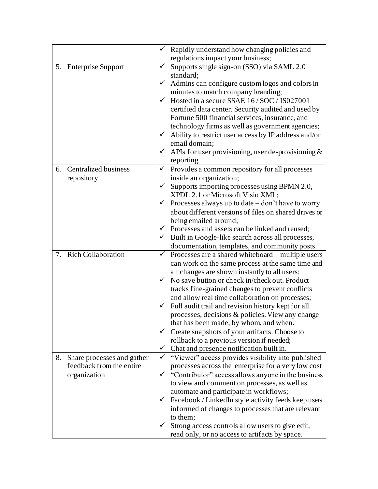|    |                             |              | $\checkmark$ Rapidly understand how changing policies and                          |
|----|-----------------------------|--------------|------------------------------------------------------------------------------------|
|    |                             |              | regulations impact your business;                                                  |
|    | 5. Enterprise Support       | $\checkmark$ | Supports single sign-on (SSO) via SAML 2.0                                         |
|    |                             |              | standard;                                                                          |
|    |                             | $\checkmark$ | Admins can configure custom logos and colors in                                    |
|    |                             | $\checkmark$ | minutes to match company branding;                                                 |
|    |                             |              | Hosted in a secure SSAE 16/SOC/IS027001                                            |
|    |                             |              | certified data center. Security audited and used by                                |
|    |                             |              | Fortune 500 financial services, insurance, and                                     |
|    |                             |              | technology firms as well as government agencies;                                   |
|    |                             |              | $\checkmark$ Ability to restrict user access by IP address and/or<br>email domain; |
|    |                             | $\checkmark$ |                                                                                    |
|    |                             |              | APIs for user provisioning, user de-provisioning $\&$                              |
| 6. | <b>Centralized business</b> | $\checkmark$ | reporting<br>Provides a common repository for all processes                        |
|    | repository                  |              | inside an organization;                                                            |
|    |                             | $\checkmark$ | Supports importing processes using BPMN 2.0,                                       |
|    |                             |              | XPDL 2.1 or Microsoft Visio XML;                                                   |
|    |                             | $\checkmark$ | Processes always up to date $-\text{don't}$ have to worry                          |
|    |                             |              | about different versions of files on shared drives or                              |
|    |                             |              | being emailed around;                                                              |
|    |                             |              | $\checkmark$ Processes and assets can be linked and reused;                        |
|    |                             |              | $\checkmark$ Built in Google-like search across all processes,                     |
|    |                             |              | documentation, templates, and community posts.                                     |
|    | 7. Rich Collaboration       | $\checkmark$ | Processes are a shared whiteboard – multiple users                                 |
|    |                             |              | can work on the same process at the same time and                                  |
|    |                             |              | all changes are shown instantly to all users;                                      |
|    |                             | $\checkmark$ | No save button or check in/check out. Product                                      |
|    |                             |              | tracks fine-grained changes to prevent conflicts                                   |
|    |                             |              | and allow real time collaboration on processes;                                    |
|    |                             | $\checkmark$ | Full audit trail and revision history kept for all                                 |
|    |                             |              | processes, decisions & policies. View any change                                   |
|    |                             |              | that has been made, by whom, and when.                                             |
|    |                             | $\checkmark$ | Create snapshots of your artifacts. Choose to                                      |
|    |                             |              | rollback to a previous version if needed;                                          |
|    |                             | $\checkmark$ | Chat and presence notification built in.                                           |
| 8. | Share processes and gather  |              | $\checkmark$ "Viewer" access provides visibility into published                    |
|    | feedback from the entire    |              | processes across the enterprise for a very low cost                                |
|    | organization                | ✓            | "Contributor" access allows anyone in the business                                 |
|    |                             |              | to view and comment on processes, as well as                                       |
|    |                             |              | automate and participate in workflows;                                             |
|    |                             | ✓            | Facebook / LinkedIn style activity feeds keep users                                |
|    |                             |              | informed of changes to processes that are relevant                                 |
|    |                             |              | to them;                                                                           |
|    |                             | ✓            | Strong access controls allow users to give edit,                                   |
|    |                             |              | read only, or no access to artifacts by space.                                     |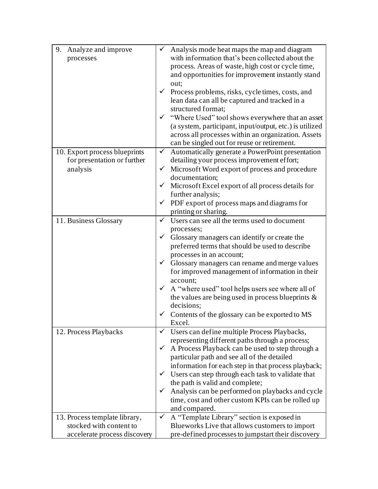| Analyze and improve<br>9.<br>processes | Analysis mode heat maps the map and diagram<br>with information that's been collected about the<br>process. Areas of waste, high cost or cycle time,<br>and opportunities for improvement instantly stand<br>out;<br>$\checkmark$ Process problems, risks, cycle times, costs, and<br>lean data can all be captured and tracked in a<br>structured format;<br>√ "Where Used" tool shows everywhere that an asset |
|----------------------------------------|------------------------------------------------------------------------------------------------------------------------------------------------------------------------------------------------------------------------------------------------------------------------------------------------------------------------------------------------------------------------------------------------------------------|
|                                        | (a system, participant, input/output, etc.) is utilized<br>across all processes within an organization. Assets<br>can be singled out for reuse or retirement.                                                                                                                                                                                                                                                    |
| 10. Export process blueprints          | Automatically generate a PowerPoint presentation<br>$\checkmark$                                                                                                                                                                                                                                                                                                                                                 |
| for presentation or further            | detailing your process improvement effort;                                                                                                                                                                                                                                                                                                                                                                       |
| analysis                               | Microsoft Word export of process and procedure<br>$\checkmark$<br>documentation;                                                                                                                                                                                                                                                                                                                                 |
|                                        | $\checkmark$ Microsoft Excel export of all process details for                                                                                                                                                                                                                                                                                                                                                   |
|                                        | further analysis;                                                                                                                                                                                                                                                                                                                                                                                                |
|                                        | $\checkmark$ PDF export of process maps and diagrams for                                                                                                                                                                                                                                                                                                                                                         |
|                                        | printing or sharing.                                                                                                                                                                                                                                                                                                                                                                                             |
| 11. Business Glossary                  | Users can see all the terms used to document<br>✓                                                                                                                                                                                                                                                                                                                                                                |
|                                        | processes;                                                                                                                                                                                                                                                                                                                                                                                                       |
|                                        | Glossary managers can identify or create the<br>✓                                                                                                                                                                                                                                                                                                                                                                |
|                                        | preferred terms that should be used to describe                                                                                                                                                                                                                                                                                                                                                                  |
|                                        | processes in an account;                                                                                                                                                                                                                                                                                                                                                                                         |
|                                        | $\checkmark$<br>Glossary managers can rename and merge values                                                                                                                                                                                                                                                                                                                                                    |
|                                        | for improved management of information in their<br>account;                                                                                                                                                                                                                                                                                                                                                      |
|                                        | A "where used" tool helps users see where all of<br>$\checkmark$                                                                                                                                                                                                                                                                                                                                                 |
|                                        | the values are being used in process blueprints $\&$                                                                                                                                                                                                                                                                                                                                                             |
|                                        | decisions;                                                                                                                                                                                                                                                                                                                                                                                                       |
|                                        | Contents of the glossary can be exported to MS                                                                                                                                                                                                                                                                                                                                                                   |
|                                        | Excel.                                                                                                                                                                                                                                                                                                                                                                                                           |
| 12. Process Playbacks                  | Users can define multiple Process Playbacks,<br>✓                                                                                                                                                                                                                                                                                                                                                                |
|                                        | representing different paths through a process;                                                                                                                                                                                                                                                                                                                                                                  |
|                                        | A Process Playback can be used to step through a<br>✓                                                                                                                                                                                                                                                                                                                                                            |
|                                        | particular path and see all of the detailed                                                                                                                                                                                                                                                                                                                                                                      |
|                                        | information for each step in that process playback;                                                                                                                                                                                                                                                                                                                                                              |
|                                        | Users can step through each task to validate that<br>the path is valid and complete;                                                                                                                                                                                                                                                                                                                             |
|                                        | Analysis can be performed on playbacks and cycle                                                                                                                                                                                                                                                                                                                                                                 |
|                                        | time, cost and other custom KPIs can be rolled up                                                                                                                                                                                                                                                                                                                                                                |
|                                        | and compared.                                                                                                                                                                                                                                                                                                                                                                                                    |
| 13. Process template library,          | A "Template Library" section is exposed in<br>$\checkmark$                                                                                                                                                                                                                                                                                                                                                       |
| stocked with content to                | Blueworks Live that allows customers to import                                                                                                                                                                                                                                                                                                                                                                   |
| accelerate process discovery           | pre-defined processes to jumpstart their discovery                                                                                                                                                                                                                                                                                                                                                               |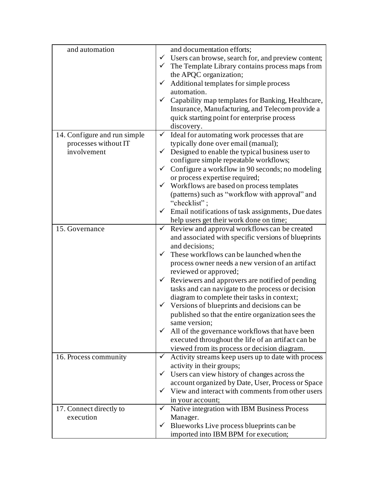| and automation               | and documentation efforts;                                                                           |
|------------------------------|------------------------------------------------------------------------------------------------------|
|                              | $\checkmark$ Users can browse, search for, and preview content;                                      |
|                              | $\checkmark$ The Template Library contains process maps from                                         |
|                              | the APQC organization;                                                                               |
|                              | Additional templates for simple process<br>$\checkmark$                                              |
|                              | automation.                                                                                          |
|                              | Capability map templates for Banking, Healthcare,<br>✓                                               |
|                              | Insurance, Manufacturing, and Telecom provide a                                                      |
|                              | quick starting point for enterprise process                                                          |
|                              | discovery.                                                                                           |
| 14. Configure and run simple | $\checkmark$ Ideal for automating work processes that are                                            |
| processes without IT         | typically done over email (manual);                                                                  |
| involvement                  | $\checkmark$ Designed to enable the typical business user to                                         |
|                              | configure simple repeatable workflows;                                                               |
|                              | Configure a workflow in 90 seconds; no modeling<br>$\checkmark$                                      |
|                              | or process expertise required;                                                                       |
|                              | $\checkmark$ Workflows are based on process templates                                                |
|                              | (patterns) such as "workflow with approval" and                                                      |
|                              | "checklist";                                                                                         |
|                              | Email notifications of task assignments, Due dates<br>$\checkmark$                                   |
|                              | help users get their work done on time;                                                              |
| 15. Governance               | $\checkmark$ Review and approval workflows can be created                                            |
|                              | and associated with specific versions of blueprints                                                  |
|                              | and decisions;                                                                                       |
|                              | These workflows can be launched when the<br>$\checkmark$                                             |
|                              | process owner needs a new version of an artifact                                                     |
|                              | reviewed or approved;                                                                                |
|                              | $\checkmark$ Reviewers and approvers are notified of pending                                         |
|                              | tasks and can navigate to the process or decision                                                    |
|                              | diagram to complete their tasks in context;                                                          |
|                              | Versions of blueprints and decisions can be<br>✓                                                     |
|                              | published so that the entire organization sees the                                                   |
|                              | same version;<br>✓                                                                                   |
|                              | All of the governance workflows that have been<br>executed throughout the life of an artifact can be |
|                              | viewed from its process or decision diagram.                                                         |
| 16. Process community        | ✓<br>Activity streams keep users up to date with process                                             |
|                              | activity in their groups;                                                                            |
|                              | $\checkmark$ Users can view history of changes across the                                            |
|                              | account organized by Date, User, Process or Space                                                    |
|                              | $\checkmark$ View and interact with comments from other users                                        |
|                              | in your account;                                                                                     |
| 17. Connect directly to      | Native integration with IBM Business Process<br>✓                                                    |
| execution                    | Manager.                                                                                             |
|                              | Blueworks Live process blueprints can be<br>✓                                                        |
|                              | imported into IBM BPM for execution;                                                                 |